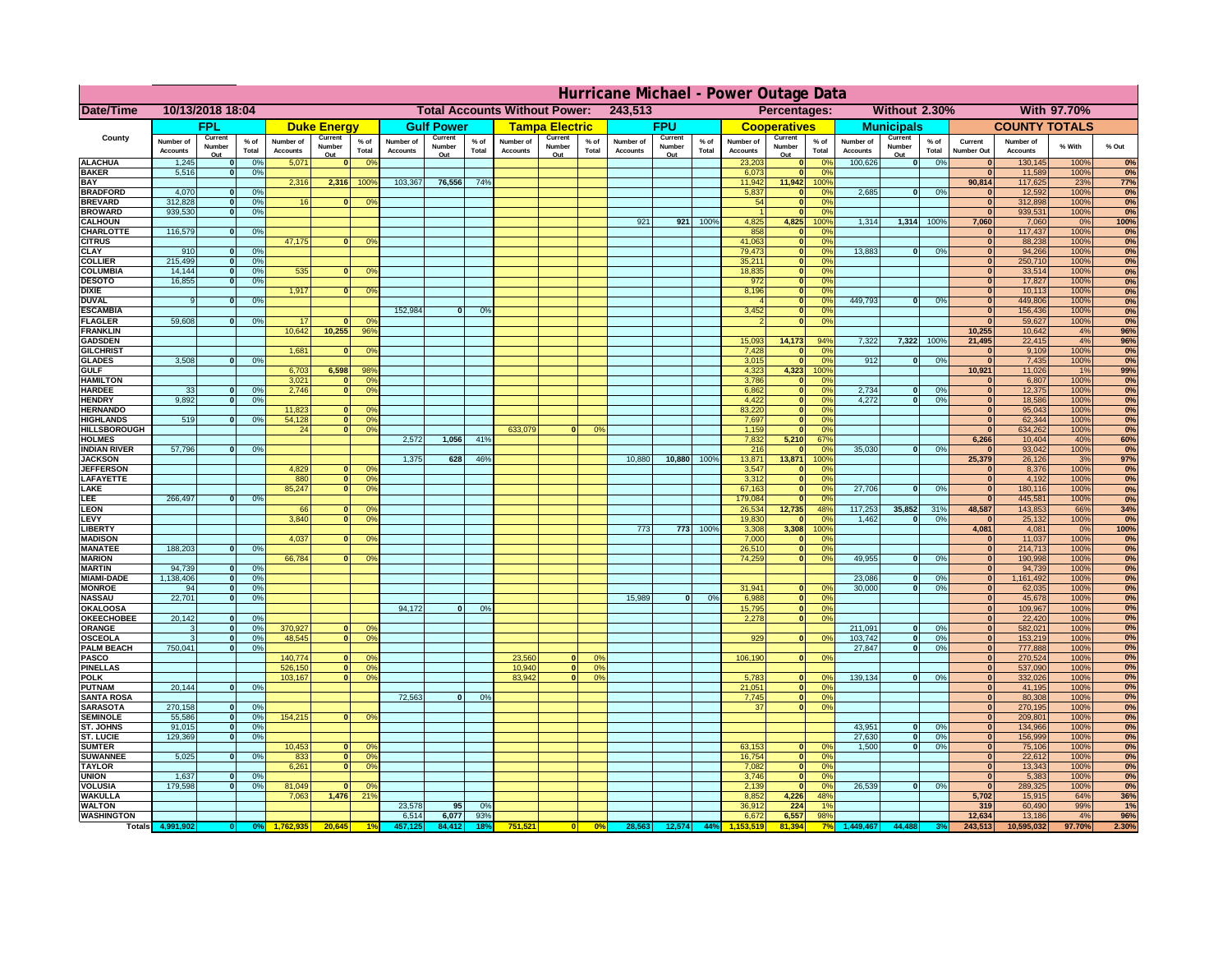|                                         | Hurricane Michael - Power Outage Data |                   |                                  |                              |                                                 |                                              |                              |                   |                 |                              |                                     |                                                            |                       |                   |                 |                              |                                |                        |                              |                             |                 |                              |                              |              |              |
|-----------------------------------------|---------------------------------------|-------------------|----------------------------------|------------------------------|-------------------------------------------------|----------------------------------------------|------------------------------|-------------------|-----------------|------------------------------|-------------------------------------|------------------------------------------------------------|-----------------------|-------------------|-----------------|------------------------------|--------------------------------|------------------------|------------------------------|-----------------------------|-----------------|------------------------------|------------------------------|--------------|--------------|
| Date/Time                               | 10/13/2018 18:04                      |                   |                                  |                              | 243,513<br><b>Total Accounts Without Power:</b> |                                              |                              |                   |                 |                              |                                     | <b>Without 2.30%</b><br><b>With 97.70%</b><br>Percentages: |                       |                   |                 |                              |                                |                        |                              |                             |                 |                              |                              |              |              |
|                                         |                                       | <b>FPL</b>        |                                  |                              | <b>Duke Energy</b>                              |                                              |                              | <b>Gulf Power</b> |                 |                              | <b>Tampa Electric</b>               |                                                            |                       | <b>FPU</b>        |                 |                              | <b>Cooperatives</b>            |                        |                              | <b>Municipals</b>           |                 |                              | <b>COUNTY TOTALS</b>         |              |              |
| County                                  | Number of<br><b>Accounts</b>          | Current<br>Number | % of<br>Total                    | Number of<br><b>Accounts</b> | Current<br>Number                               | $%$ of<br>Total                              | Number of<br><b>Accounts</b> | Current<br>Number | $%$ of<br>Total | Number of<br><b>Accounts</b> | Current<br>Number                   | $%$ of<br>Total                                            | Number of<br>Accounts | Current<br>Number | $%$ of<br>Total | Number of<br><b>Accounts</b> | Current<br>Number              | $%$ of<br>Total        | Number of<br><b>Accounts</b> | Current<br>Number           | $%$ of<br>Total | Current<br><b>Number Out</b> | Number of<br><b>Accounts</b> | % With       | % Out        |
| <b>ALACHUA</b>                          | 1,245                                 | Out               | 0 <sup>9</sup>                   | 5,071                        | Out<br>$\mathbf{0}$                             | 0 <sup>9</sup>                               |                              | Out               |                 |                              | Out                                 |                                                            |                       | Out               |                 | 23,203                       | Out<br>$\mathbf{0}$            | 0 <sup>9</sup>         | 100,626                      | Out<br> 0                   | 0%              | $\bf{0}$                     | 130,145                      | 100%         | 0%           |
| <b>BAKER</b>                            | 5,516                                 |                   | 0%                               |                              |                                                 |                                              |                              |                   |                 |                              |                                     |                                                            |                       |                   |                 | 6,073                        | ō                              | 0%                     |                              |                             |                 | $\mathbf{0}$                 | 11,589                       | 100%         | 0%           |
| <b>BAY</b><br><b>BRADFORD</b>           | 4,070                                 |                   | 0 <sup>9</sup>                   | 2,316                        | 2,316                                           | 100%                                         | 103,367                      | 76,556            | 74%             |                              |                                     |                                                            |                       |                   |                 | 11,942<br>5,837              | 11,942<br>$\mathbf{0}$         | 100%<br>0%             | 2,685                        | 0                           | 0%              | 90,814<br>$\bf{0}$           | 117,625<br>12,592            | 23%<br>100%  | 77%<br>0%    |
| <b>BREVARD</b>                          | 312,828                               |                   | 0 <sup>9</sup>                   | 16                           | $\mathbf{0}$                                    | 0 <sup>9</sup>                               |                              |                   |                 |                              |                                     |                                                            |                       |                   |                 | 54                           | $\mathbf{0}$                   | 0%                     |                              |                             |                 | $\mathbf{0}$                 | 312,898                      | 100%         | 0%           |
| <b>BROWARD</b>                          | 939.530                               |                   | 0 <sup>9</sup>                   |                              |                                                 |                                              |                              |                   |                 |                              |                                     |                                                            |                       |                   |                 |                              | $\mathbf{0}$                   | 0%                     |                              |                             |                 | $\bf{0}$                     | 939,531                      | 100%         | 0%           |
| <b>CALHOUN</b><br>CHARLOTTE             | 116,579                               |                   | 0 <sup>9</sup>                   |                              |                                                 |                                              |                              |                   |                 |                              |                                     |                                                            | 921                   | 921               | 100%            | 4,825<br>858                 | 4,825<br>$\mathbf 0$           | 100%<br>0 <sup>o</sup> | 1,314                        | 1,314 100%                  |                 | 7,060                        | 7,060<br>117,437             | 0%<br>100%   | 100%<br>0%   |
| <b>CITRUS</b>                           |                                       |                   |                                  | 47,175                       | $\bf{0}$                                        | 0 <sup>9</sup>                               |                              |                   |                 |                              |                                     |                                                            |                       |                   |                 | 41,063                       | $\mathbf{0}$                   | 0 <sup>9</sup>         |                              |                             |                 | $\bf{0}$                     | 88,238                       | 100%         | 0%           |
| <b>CLAY</b>                             | 910                                   |                   | 0 <sup>9</sup>                   |                              |                                                 |                                              |                              |                   |                 |                              |                                     |                                                            |                       |                   |                 | 79,473                       | $\bullet$                      | 0 <sup>9</sup>         | 13,883                       | $\mathbf{0}$                | 0%              | $\bf{0}$                     | 94,266                       | 100%         | 0%           |
| <b>COLLIER</b><br><b>COLUMBIA</b>       | 215,499<br>14,144                     |                   | 0 <sup>9</sup><br>0 <sup>9</sup> | 535                          | $\bf{0}$                                        | 0 <sup>9</sup>                               |                              |                   |                 |                              |                                     |                                                            |                       |                   |                 | 35,211<br>18,835             | $\mathbf{0}$<br>ō              | 0%<br>0%               |                              |                             |                 | $\bf{0}$<br>$\bf{0}$         | 250,710<br>33,514            | 100%<br>100% | 0%<br>0%     |
| <b>DESOTO</b>                           | 16,855                                |                   | 0 <sup>9</sup>                   |                              |                                                 |                                              |                              |                   |                 |                              |                                     |                                                            |                       |                   |                 | 972                          | ō                              | 0%                     |                              |                             |                 | $\bf{0}$                     | 17,827                       | 100%         | 0%           |
| <b>DIXIE</b>                            |                                       |                   |                                  | 1,917                        | $\mathbf{0}$                                    | 0°                                           |                              |                   |                 |                              |                                     |                                                            |                       |                   |                 | 8,196                        | $\mathbf{0}$                   | nº                     | 449.793                      |                             |                 | $\bf{0}$                     | 10,113                       | 100%         | 0%           |
| <b>DUVAL</b><br><b>ESCAMBIA</b>         |                                       |                   | 0%                               |                              |                                                 |                                              | 152,984                      | $\bf{0}$          | 0 <sup>9</sup>  |                              |                                     |                                                            |                       |                   |                 | 3,452                        | $\mathbf{0}$<br>$\mathbf{0}$   | 0%<br>0%               |                              | ol                          | 0%              | $\Omega$<br>$\mathbf{0}$     | 449,806<br>156,436           | 100%<br>100% | 0%<br>0%     |
| <b>FLAGLER</b>                          | 59,608                                |                   | 0%                               | 17                           | $\mathbf{r}$                                    | 0 <sup>9</sup>                               |                              |                   |                 |                              |                                     |                                                            |                       |                   |                 |                              | $\bullet$                      | 0%                     |                              |                             |                 | $\mathbf{r}$                 | 59,627                       | 100%         | 0%           |
| <b>FRANKLIN</b>                         |                                       |                   |                                  | 10,642                       | 10,255                                          | 96%                                          |                              |                   |                 |                              |                                     |                                                            |                       |                   |                 |                              |                                |                        |                              |                             |                 | 10,255                       | 10,642                       | 4%           | 96%          |
| <b>GADSDEN</b><br><b>GILCHRIST</b>      |                                       |                   |                                  | 1,681                        | $\mathbf{0}$                                    | 0 <sup>9</sup>                               |                              |                   |                 |                              |                                     |                                                            |                       |                   |                 | 15,093<br>7,428              | 14,173<br>$\mathbf{0}$         | 94%<br>0%              | 7,322                        | 7,322                       | 100%            | 21,495<br> 0                 | 22,415<br>9,109              | 4%<br>100%   | 96%<br>0%    |
| <b>GLADES</b>                           | 3,508                                 |                   | 0 <sup>9</sup>                   |                              |                                                 |                                              |                              |                   |                 |                              |                                     |                                                            |                       |                   |                 | 3,015                        | $\bullet$                      | 0%                     | 912                          | 0                           | 0%              | $\overline{0}$               | 7,435                        | 100%         | 0%           |
| <b>GULF</b>                             |                                       |                   |                                  | 6,703                        | 6,598                                           | 98%                                          |                              |                   |                 |                              |                                     |                                                            |                       |                   |                 | 4,323                        | 4,323                          | 100%                   |                              |                             |                 | 10,921                       | 11,026                       | 1%           | 99%          |
| <b>HAMILTON</b><br><b>HARDEE</b>        | 33                                    |                   | 0%                               | 3,021<br>2.746               | n l<br>n l                                      | 0 <sup>9</sup><br>0 <sup>9</sup>             |                              |                   |                 |                              |                                     |                                                            |                       |                   |                 | 3,786<br>6.862               | $\mathbf{0}$<br> 0             | 0%<br>0%               | 2.734                        | $\mathbf{0}$                | 0%              | $\Omega$<br> 0               | 6,807<br>12,375              | 100%<br>100% | 0%<br>0%     |
| <b>HENDRY</b>                           | 9.892                                 |                   | 0%                               |                              |                                                 |                                              |                              |                   |                 |                              |                                     |                                                            |                       |                   |                 | 4.422                        | 0                              | 0%                     | 4.272                        | $\mathbf{0}$                | 0%              | 0                            | 18.586                       | 100%         | 0%           |
| <b>HERNANDO</b>                         |                                       |                   |                                  | 11,823                       | <sup>o</sup>                                    | $\Omega$                                     |                              |                   |                 |                              |                                     |                                                            |                       |                   |                 | 83,220                       | 0                              | 0%                     |                              |                             |                 | 0                            | 95,043                       | 100%         | 0%           |
| <b>HIGHLANDS</b><br><b>HILLSBOROUGH</b> | 519                                   |                   | 0 <sup>9</sup>                   | 54,128<br>24                 |                                                 | $\overline{0}$<br>0%<br>$\overline{0}$<br>0% |                              |                   |                 | 633,079                      |                                     | 0 <sup>9</sup>                                             |                       |                   |                 | 7,697<br>1,159               | $\overline{0}$<br>$\mathbf{0}$ | 0%<br>0%               |                              |                             |                 | 0 <br>$\mathbf{0}$           | 62,344<br>634,262            | 100%<br>100% | 0%<br>0%     |
| <b>HOLMES</b>                           |                                       |                   |                                  |                              |                                                 |                                              | 2,572                        | 1,056             | 41%             |                              |                                     |                                                            |                       |                   |                 | 7,832                        | 5,210                          | 67%                    |                              |                             |                 | 6,266                        | 10,404                       | 40%          | 60%          |
| <b>INDIAN RIVER</b>                     | 57,796                                |                   | 0%                               |                              |                                                 |                                              |                              |                   |                 |                              |                                     |                                                            |                       |                   |                 | 216                          | $\mathbf{0}$                   | 0 <sup>9</sup>         | 35,030                       | $\mathbf{0}$                | 0%              | $\bf{0}$                     | 93,042                       | 100%         | 0%           |
| <b>JACKSON</b><br><b>JEFFERSOI</b>      |                                       |                   |                                  | 4,829                        | οI                                              | 0 <sup>9</sup>                               | 1,375                        | 628               | 46%             |                              |                                     |                                                            | 10,880                | 10,880            | 100%            | 13,871<br>3,547              | 13,871<br>$\mathbf 0$          | 100%<br>0%             |                              |                             |                 | 25,379<br>$\mathbf{0}$       | 26,126<br>8,376              | 3%<br>100%   | 97%<br>0%    |
| LAFAYETTE                               |                                       |                   |                                  | 880                          |                                                 | $\overline{0}$<br>0%                         |                              |                   |                 |                              |                                     |                                                            |                       |                   |                 | 3,312                        | $\mathbf{0}$                   | 0%                     |                              |                             |                 | 0                            | 4,192                        | 100%         | 0%           |
| LAKE                                    |                                       |                   |                                  | 85,247                       |                                                 | $\overline{0}$<br>0%                         |                              |                   |                 |                              |                                     |                                                            |                       |                   |                 | 67,163                       | $\mathbf{0}$                   | 0%                     | 27,706                       | $\Omega$                    | 0%              | 0                            | 180,116                      | 100%         | 0%           |
| LEE<br><b>LEON</b>                      | 266,497                               |                   | 0%                               | 66                           | $\Omega$                                        | O <sup>9</sup>                               |                              |                   |                 |                              |                                     |                                                            |                       |                   |                 | 179,084<br>26,534            | $\mathbf{0}$<br>12,735         | 0%<br>48%              | 117,253                      | 35,852                      | 31%             | 0 <br>48,587                 | 445,581<br>143,853           | 100%<br>66%  | 0%<br>34%    |
| LEVY                                    |                                       |                   |                                  | 3,840                        | $\Omega$                                        | 0 <sup>9</sup>                               |                              |                   |                 |                              |                                     |                                                            |                       |                   |                 | 19,830                       | $\mathbf{0}$                   | 0%                     | 1,462                        | $\mathbf{0}$                | 0%              | $\mathbf{0}$                 | 25,132                       | 100%         | 0%           |
| LIBERTY                                 |                                       |                   |                                  |                              |                                                 |                                              |                              |                   |                 |                              |                                     |                                                            | 773                   | 773               | 100%            | 3,308                        | 3,308                          | 100%                   |                              |                             |                 | 4,081                        | 4,081                        | 0%           | 100%         |
| <b>MADISON</b><br><b>MANATEE</b>        | 188,203                               | $\Omega$          | 0%                               | 4,037                        |                                                 | 0 <sup>9</sup>                               |                              |                   |                 |                              |                                     |                                                            |                       |                   |                 | 7,000<br>26,510              | $\mathbf{0}$<br> 0             | 0%<br>0%               |                              |                             |                 | 0 <br> 0                     | 11,037<br>214,713            | 100%<br>100% | 0%<br>0%     |
| <b>MARION</b>                           |                                       |                   |                                  | 66,784                       |                                                 | 0°                                           |                              |                   |                 |                              |                                     |                                                            |                       |                   |                 | 74,259                       | 0                              | 0%                     | 49,955                       | $\Omega$                    | 0%              | 0                            | 190,998                      | 100%         | 0%           |
| <b>MARTIN</b>                           | 94,739                                | $\Omega$          | 0 <sup>9</sup>                   |                              |                                                 |                                              |                              |                   |                 |                              |                                     |                                                            |                       |                   |                 |                              |                                |                        |                              |                             |                 | 0                            | 94,739                       | 100%         | 0%           |
| <b>MIAMI-DADE</b><br><b>MONROE</b>      | 1,138,406<br>94                       | $\mathbf{o}$<br>0 | 0 <sup>9</sup><br>0%             |                              |                                                 |                                              |                              |                   |                 |                              |                                     |                                                            |                       |                   |                 | 31,941                       | $\mathbf{0}$                   | 0 <sup>9</sup>         | 23,086<br>30,000             | $\mathbf 0$<br>$\mathbf{0}$ | 0%<br>0%        | 0 <br> 0                     | 1,161,492<br>62,035          | 100%<br>100% | 0%<br>0%     |
| <b>NASSAU</b>                           | 22,701                                | $\Omega$          | 0%                               |                              |                                                 |                                              |                              |                   |                 |                              |                                     |                                                            | 15,989                | 0                 | 0%              | 6,988                        | 0                              | 0%                     |                              |                             |                 | 0                            | 45,678                       | 100%         | 0%           |
| OKALOOSA                                |                                       |                   |                                  |                              |                                                 |                                              | 94,172                       | $\bf{0}$          | 0%              |                              |                                     |                                                            |                       |                   |                 | 15,795                       | 0                              | 0%                     |                              |                             |                 | 0                            | 109,967                      | 100%         | 0%           |
| <b>OKEECHOBEE</b><br>ORANGE             | 20,142                                | $\Omega$          | 0 <sup>9</sup><br>0 <sup>9</sup> | 370,927                      | $\Omega$                                        | 0 <sup>6</sup>                               |                              |                   |                 |                              |                                     |                                                            |                       |                   |                 | 2,278                        | 0                              | 0%                     | 211,091                      | $\mathbf{0}$                | 0%              | 0 <br> 0                     | 22,420<br>582,021            | 100%<br>100% | 0%<br>0%     |
| <b>OSCEOLA</b>                          |                                       | $\Omega$          | 0 <sup>9</sup>                   | 48,545                       | $\Omega$                                        | $\Omega$                                     |                              |                   |                 |                              |                                     |                                                            |                       |                   |                 | 929                          | 0                              | 0 <sup>9</sup>         | 103,742                      | 0                           | 0%              | 0                            | 153,219                      | 100%         | 0%           |
| <b>PALM BEACH</b>                       | 750,041                               | $\Omega$          | 0 <sup>9</sup>                   |                              |                                                 |                                              |                              |                   |                 |                              |                                     |                                                            |                       |                   |                 |                              |                                |                        | 27,847                       | ol                          | 0%              | 0                            | 777,888                      | 100%         | 0%           |
| PASCO<br><b>PINELLAS</b>                |                                       |                   |                                  | 140,774<br>526,150           | $\Omega$                                        | $^{\circ}$<br>0 <sup>9</sup><br> 0           |                              |                   |                 | 23,560<br>10,940             | $\Omega$<br>$\overline{\mathbf{0}}$ | 0%<br>0%                                                   |                       |                   |                 | 106,190                      | 0                              | 0%                     |                              |                             |                 | 0 <br>$\mathbf{0}$           | 270,524<br>537,090           | 100%<br>100% | 0%<br>0%     |
| <b>POLK</b>                             |                                       |                   |                                  | 103,167                      |                                                 | 0 <sup>9</sup><br> 0                         |                              |                   |                 | 83,942                       | 0                                   | 0%                                                         |                       |                   |                 | 5,783                        | 0                              | nº                     | 139,134                      | 0                           | 0%              | 0                            | 332,026                      | 100%         | 0%           |
| <b>PUTNAM</b>                           | 20,144                                | $\mathbf{0}$      | 0%                               |                              |                                                 |                                              |                              |                   |                 |                              |                                     |                                                            |                       |                   |                 | 21,051                       | 0                              | 0%                     |                              |                             |                 | $\bf{0}$                     | 41,195                       | 100%         | 0%           |
| <b>SANTA ROSA</b><br><b>SARASOTA</b>    | 270,158                               | $\Omega$          | 0%                               |                              |                                                 |                                              | 72,563                       | 0                 | 0%              |                              |                                     |                                                            |                       |                   |                 | 7,745<br>37                  | 0 <br> 0                       | 0%<br>0%               |                              |                             |                 | $\mathbf{0}$<br>$\mathbf{0}$ | 80,308<br>270,195            | 100%<br>100% | 0%<br>0%     |
| <b>SEMINOLE</b>                         | 55,586                                | $\mathbf{0}$      | 0 <sup>9</sup>                   | 154,215                      |                                                 | $\mathbf{0}$<br>0 <sup>9</sup>               |                              |                   |                 |                              |                                     |                                                            |                       |                   |                 |                              |                                |                        |                              |                             |                 | $\mathbf{0}$                 | 209,801                      | 100%         | 0%           |
| <b>ST. JOHNS</b>                        | 91.015                                | $\Omega$          | 0%                               |                              |                                                 |                                              |                              |                   |                 |                              |                                     |                                                            |                       |                   |                 |                              |                                |                        | 43,951                       | -ol                         | 0%              | 0                            | 134,966                      | 100%         | 0%           |
| <b>ST. LUCIE</b><br><b>SUMTER</b>       | 129.369                               | $\Omega$          | 0%                               | 10,453                       | $\mathbf{0}$                                    | $\Omega$                                     |                              |                   |                 |                              |                                     |                                                            |                       |                   |                 | 63,153                       | $\mathbf{0}$                   | 0%                     | 27.630<br>1.500              | - O I<br>0                  | 0%<br>0%        | 0 <br>$\mathbf{0}$           | 156.999<br>75,106            | 100%<br>100% | 0%<br>0%     |
| <b>SUWANNEE</b>                         | 5,025                                 | $\Omega$          | 0%                               | 833                          |                                                 | 0 <sup>9</sup><br> 0                         |                              |                   |                 |                              |                                     |                                                            |                       |                   |                 | 16,754                       | 0                              | 0%                     |                              |                             |                 | $\mathbf{0}$                 | 22,612                       | 100%         | 0%           |
| <b>TAYLOR</b>                           |                                       |                   |                                  | 6,261                        |                                                 | 0 <br>0 <sup>9</sup>                         |                              |                   |                 |                              |                                     |                                                            |                       |                   |                 | 7,082                        | 0                              | 0%                     |                              |                             |                 | $\bf{0}$                     | 13,343                       | 100%         | 0%           |
| <b>UNION</b><br>VOLUSIA                 | 1,637<br>179,598                      |                   | 0 <sup>9</sup><br>0%             | 81,049                       | $\mathbf{0}$                                    | 0 <sup>6</sup>                               |                              |                   |                 |                              |                                     |                                                            |                       |                   |                 | 3,746<br>2,139               | $\mathbf 0$<br>$\mathbf 0$     | 0%<br>0%               | 26,539                       | 0                           | 0%              | $\bf{0}$<br>$\mathbf{0}$     | 5,383<br>289,325             | 100%<br>100% | 0%<br>0%     |
| <b>WAKULLA</b>                          |                                       |                   |                                  | 7,063                        | 1,476                                           | 219                                          |                              |                   |                 |                              |                                     |                                                            |                       |                   |                 | 8,852                        | 4,226                          | 48%                    |                              |                             |                 | 5,702                        | 15,915                       | 64%          | 36%          |
| <b>WALTON</b>                           |                                       |                   |                                  |                              |                                                 |                                              | 23,578                       | 95                | 0%              |                              |                                     |                                                            |                       |                   |                 | 36,912                       | 224                            | 1 <sup>9</sup>         |                              |                             |                 | 319                          | 60,490                       | 99%          | 1%           |
| <b>WASHINGTON</b>                       |                                       |                   |                                  |                              |                                                 |                                              | 6,514                        | 6,077<br>84.412   | 93%             | 751,521                      |                                     | 0%                                                         |                       |                   | 44%             | 6,672                        | 6,557<br>81.394                | 98%                    |                              |                             |                 | 12,634<br>243,513            | 13,186                       | 4%           | 96%<br>2.30% |
| Totals 4,9                              |                                       |                   |                                  |                              | 20,645                                          |                                              |                              |                   | 18              |                              |                                     |                                                            | 28,563                | 12,574            |                 |                              |                                |                        | ,449,46                      | 44,488                      |                 |                              | 10,595,032                   | 97.70%       |              |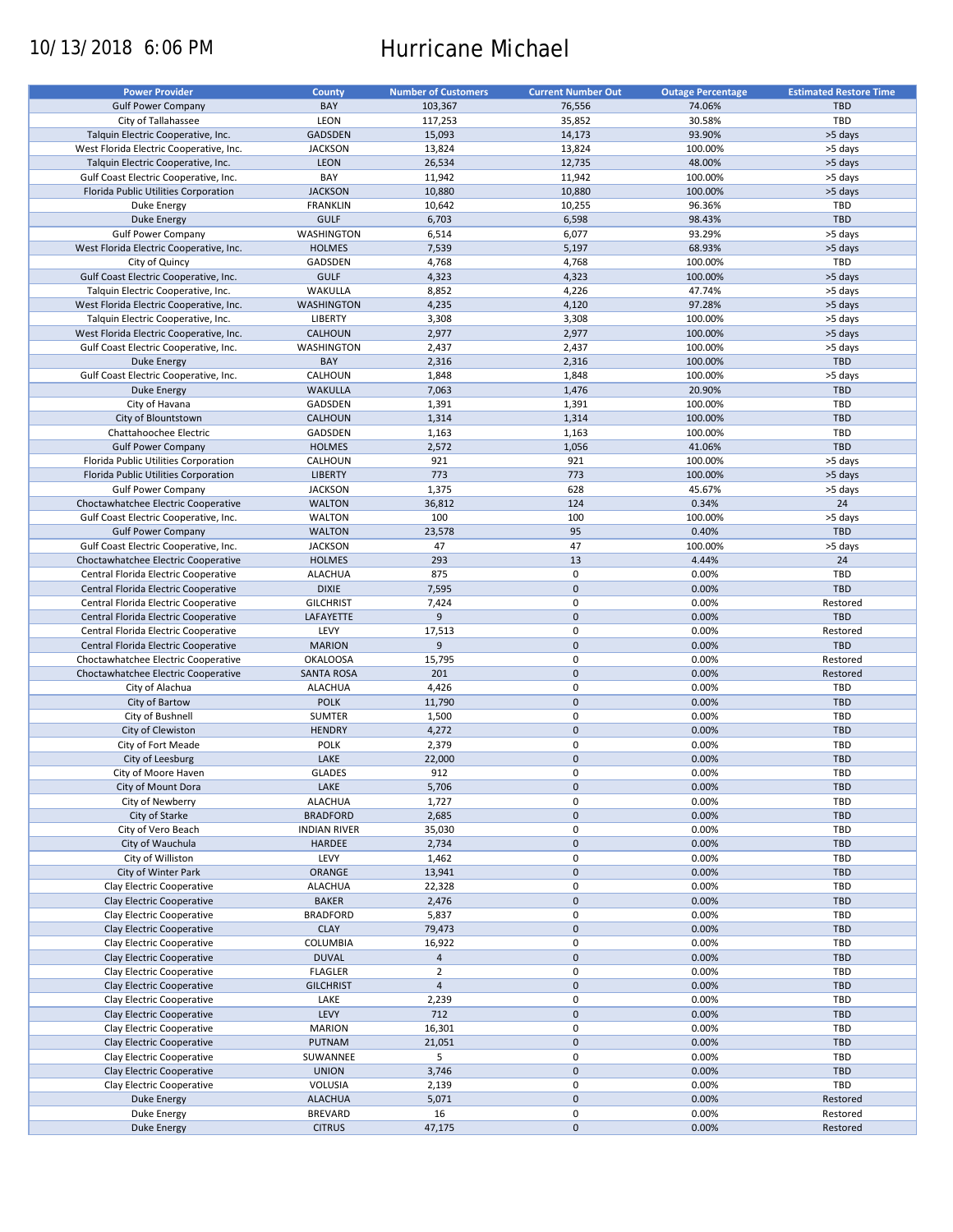# 10/13/2018 6:06 PM Hurricane Michael

| <b>Power Provider</b>                   | County              | <b>Number of Customers</b> | <b>Current Number Out</b> | <b>Outage Percentage</b> | <b>Estimated Restore Time</b> |
|-----------------------------------------|---------------------|----------------------------|---------------------------|--------------------------|-------------------------------|
| <b>Gulf Power Company</b>               | BAY                 | 103,367                    | 76,556                    | 74.06%                   | <b>TBD</b>                    |
|                                         |                     |                            |                           |                          |                               |
| City of Tallahassee                     | LEON                | 117,253                    | 35,852                    | 30.58%                   | TBD                           |
| Talquin Electric Cooperative, Inc.      | <b>GADSDEN</b>      | 15,093                     | 14,173                    | 93.90%                   | >5 days                       |
| West Florida Electric Cooperative, Inc. | <b>JACKSON</b>      | 13,824                     | 13,824                    | 100.00%                  | >5 days                       |
| Talquin Electric Cooperative, Inc.      | <b>LEON</b>         | 26,534                     | 12,735                    | 48.00%                   | >5 days                       |
| Gulf Coast Electric Cooperative, Inc.   | BAY                 | 11,942                     | 11,942                    | 100.00%                  | >5 days                       |
| Florida Public Utilities Corporation    | <b>JACKSON</b>      | 10,880                     | 10,880                    | 100.00%                  | >5 days                       |
| Duke Energy                             | <b>FRANKLIN</b>     | 10,642                     | 10,255                    | 96.36%                   | TBD                           |
| <b>Duke Energy</b>                      | <b>GULF</b>         | 6,703                      | 6,598                     | 98.43%                   | TBD                           |
|                                         |                     |                            |                           |                          |                               |
| <b>Gulf Power Company</b>               | WASHINGTON          | 6,514                      | 6,077                     | 93.29%                   | >5 days                       |
| West Florida Electric Cooperative, Inc. | <b>HOLMES</b>       | 7,539                      | 5,197                     | 68.93%                   | >5 days                       |
| City of Quincy                          | GADSDEN             | 4,768                      | 4,768                     | 100.00%                  | TBD                           |
| Gulf Coast Electric Cooperative, Inc.   | <b>GULF</b>         | 4,323                      | 4,323                     | 100.00%                  | >5 days                       |
| Talquin Electric Cooperative, Inc.      | <b>WAKULLA</b>      | 8,852                      | 4,226                     | 47.74%                   | >5 days                       |
| West Florida Electric Cooperative, Inc. | <b>WASHINGTON</b>   | 4,235                      | 4,120                     | 97.28%                   | >5 days                       |
| Talquin Electric Cooperative, Inc.      | LIBERTY             | 3,308                      | 3,308                     | 100.00%                  | >5 days                       |
|                                         |                     |                            |                           |                          |                               |
| West Florida Electric Cooperative, Inc. | <b>CALHOUN</b>      | 2,977                      | 2,977                     | 100.00%                  | >5 days                       |
| Gulf Coast Electric Cooperative, Inc.   | WASHINGTON          | 2,437                      | 2,437                     | 100.00%                  | >5 days                       |
| Duke Energy                             | BAY                 | 2,316                      | 2,316                     | 100.00%                  | <b>TBD</b>                    |
| Gulf Coast Electric Cooperative, Inc.   | CALHOUN             | 1,848                      | 1,848                     | 100.00%                  | >5 days                       |
| Duke Energy                             | <b>WAKULLA</b>      | 7,063                      | 1,476                     | 20.90%                   | <b>TBD</b>                    |
| City of Havana                          | GADSDEN             | 1,391                      | 1,391                     | 100.00%                  | TBD                           |
| City of Blountstown                     |                     |                            | 1,314                     |                          | <b>TBD</b>                    |
|                                         | <b>CALHOUN</b>      | 1,314                      |                           | 100.00%                  |                               |
| Chattahoochee Electric                  | GADSDEN             | 1,163                      | 1,163                     | 100.00%                  | TBD                           |
| <b>Gulf Power Company</b>               | <b>HOLMES</b>       | 2,572                      | 1,056                     | 41.06%                   | <b>TBD</b>                    |
| Florida Public Utilities Corporation    | CALHOUN             | 921                        | 921                       | 100.00%                  | >5 days                       |
| Florida Public Utilities Corporation    | <b>LIBERTY</b>      | 773                        | 773                       | 100.00%                  | >5 days                       |
| <b>Gulf Power Company</b>               | <b>JACKSON</b>      | 1,375                      | 628                       | 45.67%                   | >5 days                       |
| Choctawhatchee Electric Cooperative     | <b>WALTON</b>       | 36,812                     | 124                       | 0.34%                    | 24                            |
| Gulf Coast Electric Cooperative, Inc.   | <b>WALTON</b>       | 100                        | 100                       | 100.00%                  | >5 days                       |
|                                         |                     |                            |                           |                          |                               |
| <b>Gulf Power Company</b>               | <b>WALTON</b>       | 23,578                     | 95                        | 0.40%                    | <b>TBD</b>                    |
| Gulf Coast Electric Cooperative, Inc.   | <b>JACKSON</b>      | 47                         | 47                        | 100.00%                  | >5 days                       |
| Choctawhatchee Electric Cooperative     | <b>HOLMES</b>       | 293                        | 13                        | 4.44%                    | 24                            |
| Central Florida Electric Cooperative    | <b>ALACHUA</b>      | 875                        | 0                         | 0.00%                    | TBD                           |
| Central Florida Electric Cooperative    | <b>DIXIE</b>        | 7,595                      | $\pmb{0}$                 | 0.00%                    | <b>TBD</b>                    |
| Central Florida Electric Cooperative    | <b>GILCHRIST</b>    | 7,424                      | $\mathbf 0$               | 0.00%                    | Restored                      |
| Central Florida Electric Cooperative    | LAFAYETTE           | 9                          | $\mathbf 0$               | 0.00%                    | <b>TBD</b>                    |
|                                         |                     |                            |                           |                          |                               |
| Central Florida Electric Cooperative    | LEVY                | 17,513                     | 0                         | 0.00%                    | Restored                      |
| Central Florida Electric Cooperative    | <b>MARION</b>       | 9                          | $\mathbf 0$               | 0.00%                    | <b>TBD</b>                    |
| Choctawhatchee Electric Cooperative     | <b>OKALOOSA</b>     | 15,795                     | 0                         | 0.00%                    | Restored                      |
| Choctawhatchee Electric Cooperative     | <b>SANTA ROSA</b>   | 201                        | $\pmb{0}$                 | 0.00%                    | Restored                      |
| City of Alachua                         | <b>ALACHUA</b>      | 4,426                      | 0                         | 0.00%                    | TBD                           |
| City of Bartow                          | <b>POLK</b>         | 11,790                     | $\mathbf 0$               | 0.00%                    | <b>TBD</b>                    |
| City of Bushnell                        | SUMTER              | 1,500                      | $\pmb{0}$                 | 0.00%                    | TBD                           |
|                                         | <b>HENDRY</b>       | 4,272                      | $\mathbf 0$               | 0.00%                    | <b>TBD</b>                    |
| City of Clewiston                       |                     |                            |                           |                          |                               |
| City of Fort Meade                      | POLK                | 2,379                      | 0                         | 0.00%                    | TBD                           |
| City of Leesburg                        | LAKE                | 22,000                     | $\mathbf 0$               | 0.00%                    | <b>TBD</b>                    |
| City of Moore Haven                     | <b>GLADES</b>       | 912                        | $\mathbf 0$               | 0.00%                    | <b>TBD</b>                    |
| City of Mount Dora                      | LAKE                | 5,706                      | $\pmb{0}$                 | 0.00%                    | <b>TBD</b>                    |
| City of Newberry                        | <b>ALACHUA</b>      | 1,727                      | 0                         | 0.00%                    | TBD                           |
| City of Starke                          | <b>BRADFORD</b>     | 2,685                      | $\mathbf 0$               | 0.00%                    | <b>TBD</b>                    |
| City of Vero Beach                      | <b>INDIAN RIVER</b> | 35,030                     | 0                         | 0.00%                    | TBD                           |
|                                         |                     |                            |                           |                          |                               |
| City of Wauchula                        | <b>HARDEE</b>       | 2,734                      | $\pmb{0}$                 | 0.00%                    | <b>TBD</b>                    |
| City of Williston                       | LEVY                | 1,462                      | 0                         | 0.00%                    | TBD                           |
| City of Winter Park                     | ORANGE              | 13,941                     | $\pmb{0}$                 | 0.00%                    | TBD                           |
| Clay Electric Cooperative               | <b>ALACHUA</b>      | 22,328                     | $\pmb{0}$                 | 0.00%                    | TBD                           |
| Clay Electric Cooperative               | <b>BAKER</b>        | 2,476                      | $\pmb{0}$                 | 0.00%                    | <b>TBD</b>                    |
| Clay Electric Cooperative               | <b>BRADFORD</b>     | 5,837                      | 0                         | 0.00%                    | TBD                           |
| Clay Electric Cooperative               | <b>CLAY</b>         | 79,473                     | $\pmb{0}$                 | 0.00%                    | TBD                           |
|                                         |                     |                            |                           |                          |                               |
| Clay Electric Cooperative               | <b>COLUMBIA</b>     | 16,922                     | 0                         | 0.00%                    | TBD                           |
| Clay Electric Cooperative               | <b>DUVAL</b>        | $\overline{4}$             | $\pmb{0}$                 | 0.00%                    | TBD                           |
| Clay Electric Cooperative               | <b>FLAGLER</b>      | $\overline{2}$             | 0                         | 0.00%                    | TBD                           |
| Clay Electric Cooperative               | <b>GILCHRIST</b>    | $\overline{4}$             | $\pmb{0}$                 | 0.00%                    | <b>TBD</b>                    |
| Clay Electric Cooperative               | LAKE                | 2,239                      | 0                         | 0.00%                    | TBD                           |
| Clay Electric Cooperative               | LEVY                | 712                        | $\pmb{0}$                 | 0.00%                    | <b>TBD</b>                    |
| Clay Electric Cooperative               | <b>MARION</b>       | 16,301                     | 0                         | 0.00%                    | TBD                           |
|                                         |                     |                            |                           |                          |                               |
| Clay Electric Cooperative               | PUTNAM              | 21,051                     | $\pmb{0}$                 | 0.00%                    | TBD                           |
| Clay Electric Cooperative               | SUWANNEE            | 5                          | 0                         | 0.00%                    | TBD                           |
| Clay Electric Cooperative               | <b>UNION</b>        | 3,746                      | $\pmb{0}$                 | 0.00%                    | <b>TBD</b>                    |
| Clay Electric Cooperative               | VOLUSIA             | 2,139                      | 0                         | 0.00%                    | TBD                           |
| Duke Energy                             | <b>ALACHUA</b>      | 5,071                      | $\pmb{0}$                 | 0.00%                    | Restored                      |
| Duke Energy                             | <b>BREVARD</b>      | 16                         | $\pmb{0}$                 | 0.00%                    | Restored                      |
| <b>Duke Energy</b>                      | <b>CITRUS</b>       | 47,175                     | $\pmb{0}$                 | 0.00%                    | Restored                      |
|                                         |                     |                            |                           |                          |                               |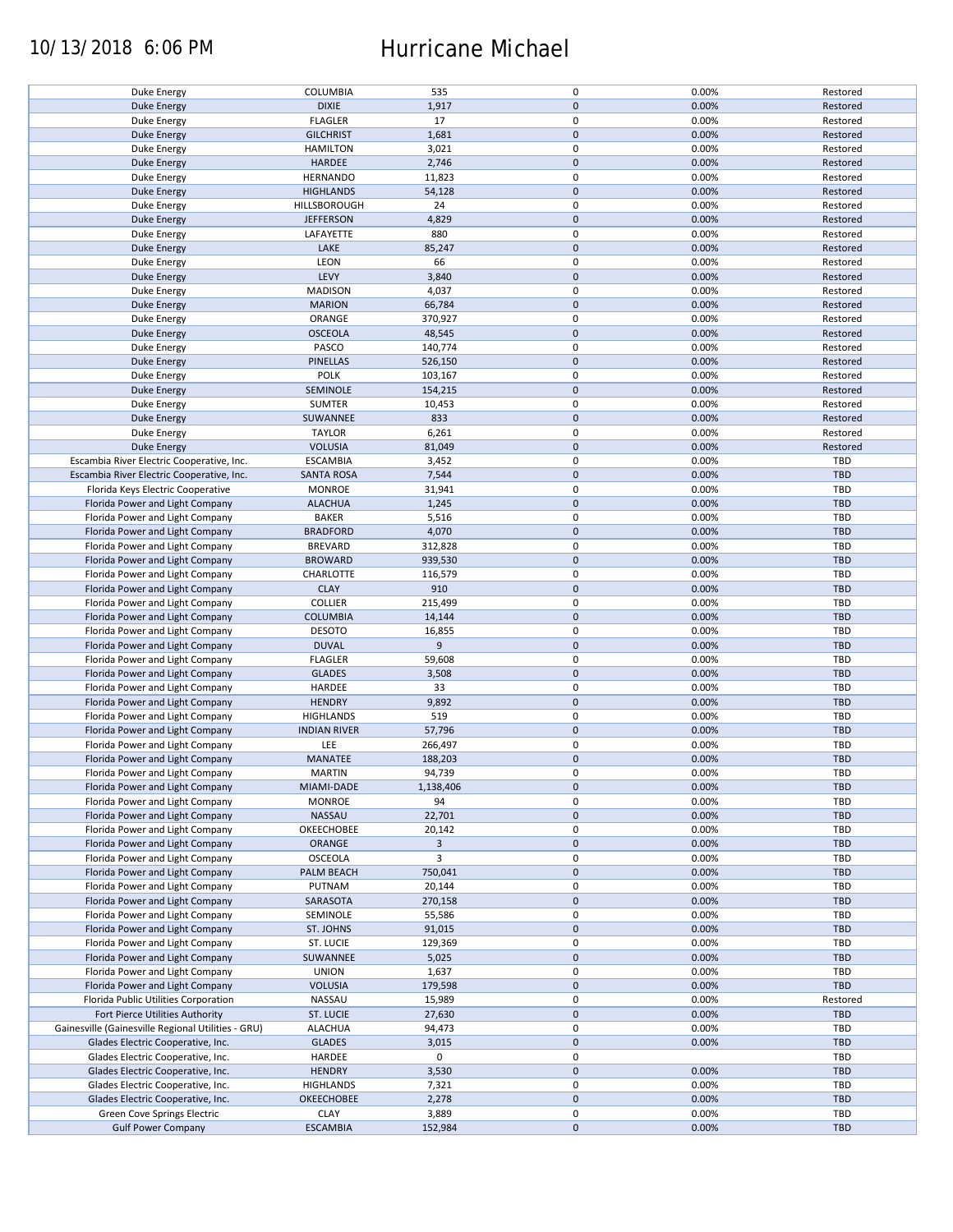## 10/13/2018 6:06 PM Hurricane Michael

| Duke Energy                                              | COLUMBIA                       | 535              | 0                      | 0.00%          | Restored   |
|----------------------------------------------------------|--------------------------------|------------------|------------------------|----------------|------------|
| <b>Duke Energy</b>                                       | <b>DIXIE</b>                   | 1,917            | $\pmb{0}$              | 0.00%          | Restored   |
| Duke Energy                                              | <b>FLAGLER</b>                 | 17               | 0                      | 0.00%          | Restored   |
|                                                          |                                |                  |                        |                |            |
| <b>Duke Energy</b>                                       | <b>GILCHRIST</b>               | 1,681            | $\mathbf 0$            | 0.00%          | Restored   |
| Duke Energy                                              | <b>HAMILTON</b>                | 3,021            | 0                      | 0.00%          | Restored   |
| <b>Duke Energy</b>                                       | <b>HARDEE</b>                  | 2,746            | $\pmb{0}$              | 0.00%          | Restored   |
|                                                          |                                |                  |                        |                |            |
| Duke Energy                                              | <b>HERNANDO</b>                | 11,823           | 0                      | 0.00%          | Restored   |
| <b>Duke Energy</b>                                       | <b>HIGHLANDS</b>               | 54,128           | $\pmb{0}$              | 0.00%          | Restored   |
|                                                          | HILLSBOROUGH                   | 24               | $\mathbf 0$            | 0.00%          | Restored   |
| Duke Energy                                              |                                |                  |                        |                |            |
| <b>Duke Energy</b>                                       | <b>JEFFERSON</b>               | 4,829            | $\mathbf 0$            | 0.00%          | Restored   |
| Duke Energy                                              | LAFAYETTE                      | 880              | $\mathbf 0$            | 0.00%          | Restored   |
| <b>Duke Energy</b>                                       | LAKE                           | 85,247           | $\pmb{0}$              | 0.00%          | Restored   |
|                                                          |                                |                  |                        |                |            |
| Duke Energy                                              | LEON                           | 66               | 0                      | 0.00%          | Restored   |
| Duke Energy                                              | LEVY                           | 3,840            | $\pmb{0}$              | 0.00%          | Restored   |
|                                                          | <b>MADISON</b>                 | 4,037            | 0                      | 0.00%          | Restored   |
| Duke Energy                                              |                                |                  |                        |                |            |
| <b>Duke Energy</b>                                       | <b>MARION</b>                  | 66,784           | $\pmb{0}$              | 0.00%          | Restored   |
| Duke Energy                                              | ORANGE                         | 370,927          | 0                      | 0.00%          | Restored   |
|                                                          | <b>OSCEOLA</b>                 | 48,545           | $\pmb{0}$              | 0.00%          | Restored   |
| <b>Duke Energy</b>                                       |                                |                  |                        |                |            |
| Duke Energy                                              | PASCO                          | 140,774          | $\pmb{0}$              | 0.00%          | Restored   |
| <b>Duke Energy</b>                                       | <b>PINELLAS</b>                | 526,150          | $\pmb{0}$              | 0.00%          | Restored   |
|                                                          |                                |                  |                        |                |            |
| Duke Energy                                              | <b>POLK</b>                    | 103,167          | 0                      | 0.00%          | Restored   |
| <b>Duke Energy</b>                                       | SEMINOLE                       | 154,215          | $\pmb{0}$              | 0.00%          | Restored   |
| Duke Energy                                              | <b>SUMTER</b>                  | 10,453           | $\pmb{0}$              | 0.00%          | Restored   |
|                                                          |                                |                  |                        |                |            |
| <b>Duke Energy</b>                                       | SUWANNEE                       | 833              | $\mathbf 0$            | 0.00%          | Restored   |
| Duke Energy                                              | <b>TAYLOR</b>                  | 6,261            | $\pmb{0}$              | 0.00%          | Restored   |
| <b>Duke Energy</b>                                       | <b>VOLUSIA</b>                 | 81,049           | $\pmb{0}$              | 0.00%          | Restored   |
|                                                          |                                |                  |                        |                |            |
| Escambia River Electric Cooperative, Inc.                | <b>ESCAMBIA</b>                | 3,452            | $\mathbf 0$            | 0.00%          | TBD        |
| Escambia River Electric Cooperative, Inc.                | <b>SANTA ROSA</b>              | 7,544            | $\pmb{0}$              | 0.00%          | <b>TBD</b> |
|                                                          | <b>MONROE</b>                  | 31,941           | $\mathbf 0$            | 0.00%          | TBD        |
| Florida Keys Electric Cooperative                        |                                |                  |                        |                |            |
| Florida Power and Light Company                          | <b>ALACHUA</b>                 | 1,245            | $\pmb{0}$              | 0.00%          | <b>TBD</b> |
| Florida Power and Light Company                          | <b>BAKER</b>                   | 5,516            | $\mathbf 0$            | 0.00%          | TBD        |
|                                                          |                                |                  | $\pmb{0}$              |                | <b>TBD</b> |
| Florida Power and Light Company                          | <b>BRADFORD</b>                | 4,070            |                        | 0.00%          |            |
| Florida Power and Light Company                          | <b>BREVARD</b>                 | 312,828          | $\mathbf 0$            | 0.00%          | TBD        |
| Florida Power and Light Company                          | <b>BROWARD</b>                 | 939,530          | $\pmb{0}$              | 0.00%          | <b>TBD</b> |
|                                                          |                                |                  |                        |                |            |
| Florida Power and Light Company                          | CHARLOTTE                      | 116,579          | 0                      | 0.00%          | TBD        |
| Florida Power and Light Company                          | <b>CLAY</b>                    | 910              | $\pmb{0}$              | 0.00%          | <b>TBD</b> |
| Florida Power and Light Company                          | <b>COLLIER</b>                 | 215,499          | 0                      | 0.00%          | <b>TBD</b> |
|                                                          |                                |                  |                        |                |            |
| Florida Power and Light Company                          | <b>COLUMBIA</b>                | 14,144           | $\pmb{0}$              | 0.00%          | <b>TBD</b> |
| Florida Power and Light Company                          | <b>DESOTO</b>                  | 16,855           | 0                      | 0.00%          | TBD        |
| Florida Power and Light Company                          | <b>DUVAL</b>                   | 9                | 0                      | 0.00%          | <b>TBD</b> |
|                                                          |                                |                  |                        |                |            |
| Florida Power and Light Company                          | <b>FLAGLER</b>                 | 59,608           | 0                      | 0.00%          | TBD        |
| Florida Power and Light Company                          | <b>GLADES</b>                  | 3,508            | $\mathbf 0$            | 0.00%          | <b>TBD</b> |
|                                                          |                                |                  |                        |                |            |
| Florida Power and Light Company                          | HARDEE                         | 33               | 0                      | 0.00%          | TBD        |
| Florida Power and Light Company                          | <b>HENDRY</b>                  | 9,892            | $\pmb{0}$              | 0.00%          | <b>TBD</b> |
| Florida Power and Light Company                          | <b>HIGHLANDS</b>               | 519              | $\pmb{0}$              | 0.00%          | TBD        |
|                                                          |                                |                  |                        |                |            |
| Florida Power and Light Company                          | <b>INDIAN RIVER</b>            | 57,796           | $\pmb{0}$              | 0.00%          | <b>TBD</b> |
| Florida Power and Light Company                          | LEE                            | 266,497          | 0                      | 0.00%          | TBD        |
| Florida Power and Light Company                          | MANATEE                        | 188,203          | $\mathbf 0$            | 0.00%          | <b>TBD</b> |
|                                                          |                                |                  |                        |                |            |
| Florida Power and Light Company                          | <b>MARTIN</b>                  | 94,739           | $\mathbf 0$            | 0.00%          | TBD        |
| Florida Power and Light Company                          | MIAMI-DADE                     | 1,138,406        | $\pmb{0}$              | 0.00%          | <b>TBD</b> |
| Florida Power and Light Company                          | <b>MONROE</b>                  | 94               | 0                      | 0.00%          | TBD        |
|                                                          |                                |                  |                        |                |            |
| Florida Power and Light Company                          | NASSAU                         | 22,701           | $\mathbf 0$            | 0.00%          | <b>TBD</b> |
| Florida Power and Light Company                          | OKEECHOBEE                     | 20,142           | 0                      | 0.00%          | TBD        |
| Florida Power and Light Company                          | ORANGE                         | 3                | $\pmb{0}$              | 0.00%          | <b>TBD</b> |
|                                                          |                                |                  |                        |                |            |
| Florida Power and Light Company                          | OSCEOLA                        | 3                | 0                      | 0.00%          | TBD        |
| Florida Power and Light Company                          | PALM BEACH                     | 750,041          | $\pmb{0}$              | 0.00%          | <b>TBD</b> |
| Florida Power and Light Company                          | PUTNAM                         | 20,144           | 0                      | 0.00%          | TBD        |
|                                                          |                                |                  |                        |                |            |
| Florida Power and Light Company                          | SARASOTA                       | 270,158          | $\pmb{0}$              | 0.00%          | <b>TBD</b> |
| Florida Power and Light Company                          | SEMINOLE                       | 55,586           | 0                      | 0.00%          | TBD        |
|                                                          |                                |                  |                        |                |            |
|                                                          |                                |                  |                        |                |            |
| Florida Power and Light Company                          | ST. JOHNS                      | 91,015           | $\mathbf 0$            | 0.00%          | TBD        |
| Florida Power and Light Company                          | ST. LUCIE                      | 129,369          | 0                      | 0.00%          | TBD        |
|                                                          |                                |                  |                        |                |            |
| Florida Power and Light Company                          | SUWANNEE                       | 5,025            | 0                      | 0.00%          | <b>TBD</b> |
| Florida Power and Light Company                          | <b>UNION</b>                   | 1,637            | 0                      | 0.00%          | TBD        |
| Florida Power and Light Company                          | <b>VOLUSIA</b>                 | 179,598          | 0                      | 0.00%          | <b>TBD</b> |
|                                                          |                                |                  |                        |                |            |
| Florida Public Utilities Corporation                     | NASSAU                         | 15,989           | 0                      | 0.00%          | Restored   |
| Fort Pierce Utilities Authority                          | ST. LUCIE                      | 27,630           | $\pmb{0}$              | 0.00%          | <b>TBD</b> |
| Gainesville (Gainesville Regional Utilities - GRU)       | <b>ALACHUA</b>                 | 94,473           | 0                      | 0.00%          | TBD        |
|                                                          |                                |                  |                        |                |            |
| Glades Electric Cooperative, Inc.                        | <b>GLADES</b>                  | 3,015            | $\pmb{0}$              | 0.00%          | <b>TBD</b> |
| Glades Electric Cooperative, Inc.                        | HARDEE                         | 0                | $\pmb{0}$              |                | TBD        |
|                                                          |                                |                  |                        |                |            |
| Glades Electric Cooperative, Inc.                        | <b>HENDRY</b>                  | 3,530            | $\pmb{0}$              | 0.00%          | <b>TBD</b> |
| Glades Electric Cooperative, Inc.                        | <b>HIGHLANDS</b>               | 7,321            | 0                      | 0.00%          | TBD        |
| Glades Electric Cooperative, Inc.                        | OKEECHOBEE                     | 2,278            | $\pmb{0}$              | 0.00%          | <b>TBD</b> |
|                                                          |                                |                  |                        |                |            |
| Green Cove Springs Electric<br><b>Gulf Power Company</b> | <b>CLAY</b><br><b>ESCAMBIA</b> | 3,889<br>152,984 | $\pmb{0}$<br>$\pmb{0}$ | 0.00%<br>0.00% | TBD<br>TBD |